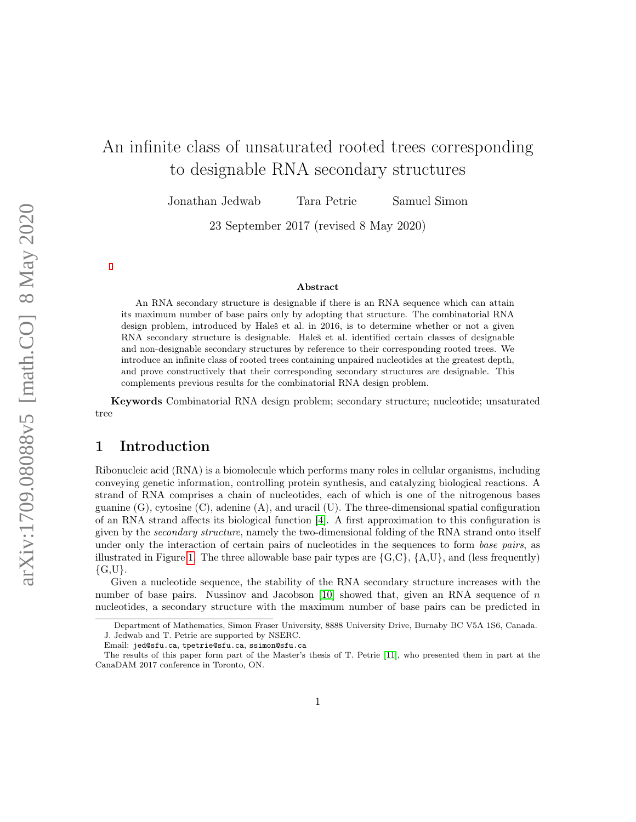# An infinite class of unsaturated rooted trees corresponding to designable RNA secondary structures

Jonathan Jedwab Tara Petrie Samuel Simon

23 September 2017 (revised 8 May 2020)

#### Abstract

An RNA secondary structure is designable if there is an RNA sequence which can attain its maximum number of base pairs only by adopting that structure. The combinatorial RNA design problem, introduced by Haleš et al. in 2016, is to determine whether or not a given RNA secondary structure is designable. Haleš et al. identified certain classes of designable and non-designable secondary structures by reference to their corresponding rooted trees. We introduce an infinite class of rooted trees containing unpaired nucleotides at the greatest depth, and prove constructively that their corresponding secondary structures are designable. This complements previous results for the combinatorial RNA design problem.

Keywords Combinatorial RNA design problem; secondary structure; nucleotide; unsaturated tree

# <span id="page-0-0"></span>1 Introduction

Ribonucleic acid (RNA) is a biomolecule which performs many roles in cellular organisms, including conveying genetic information, controlling protein synthesis, and catalyzing biological reactions. A strand of RNA comprises a chain of nucleotides, each of which is one of the nitrogenous bases guanine (G), cytosine (C), adenine (A), and uracil (U). The three-dimensional spatial configuration of an RNA strand affects its biological function [\[4\]](#page-23-0). A first approximation to this configuration is given by the secondary structure, namely the two-dimensional folding of the RNA strand onto itself under only the interaction of certain pairs of nucleotides in the sequences to form *base pairs*, as illustrated in Figure [1.](#page-1-0) The three allowable base pair types are  $\{G, C\}$ ,  $\{A, U\}$ , and (less frequently)  $\{G, U\}.$ 

Given a nucleotide sequence, the stability of the RNA secondary structure increases with the number of base pairs. Nussinov and Jacobson  $[10]$  showed that, given an RNA sequence of n nucleotides, a secondary structure with the maximum number of base pairs can be predicted in

Department of Mathematics, Simon Fraser University, 8888 University Drive, Burnaby BC V5A 1S6, Canada. J. Jedwab and T. Petrie are supported by NSERC.

Email: jed@sfu.ca, tpetrie@sfu.ca, ssimon@sfu.ca

The results of this paper form part of the Master's thesis of T. Petrie [\[11\]](#page-23-2), who presented them in part at the CanaDAM 2017 conference in Toronto, ON.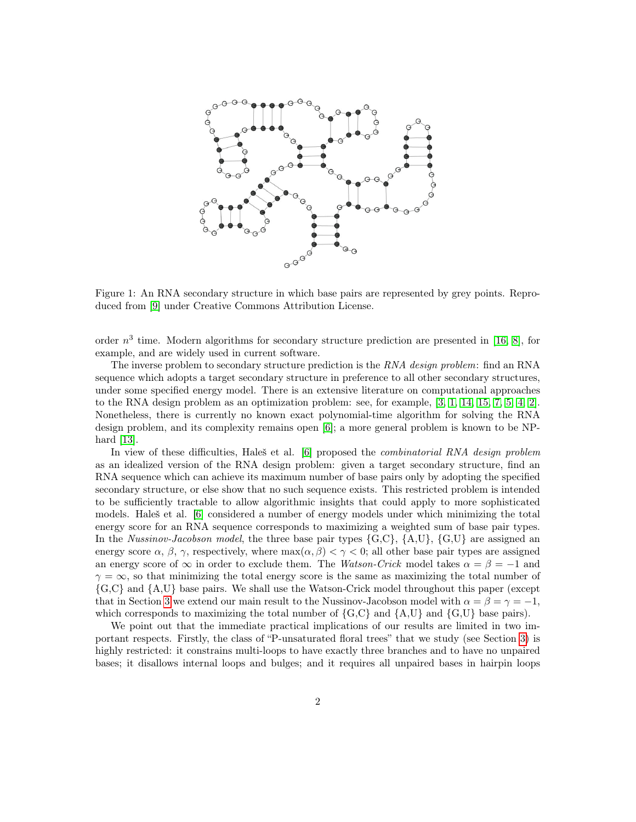<span id="page-1-0"></span>

Figure 1: An RNA secondary structure in which base pairs are represented by grey points. Reproduced from [\[9\]](#page-23-3) under Creative Commons Attribution License.

order  $n^3$  time. Modern algorithms for secondary structure prediction are presented in [\[16,](#page-24-0) [8\]](#page-23-4), for example, and are widely used in current software.

The inverse problem to secondary structure prediction is the RNA design problem: find an RNA sequence which adopts a target secondary structure in preference to all other secondary structures, under some specified energy model. There is an extensive literature on computational approaches to the RNA design problem as an optimization problem: see, for example, [\[3,](#page-23-5) [1,](#page-23-6) [14,](#page-24-1) [15,](#page-24-2) [7,](#page-23-7) [5,](#page-23-8) [4,](#page-23-0) [2\]](#page-23-9). Nonetheless, there is currently no known exact polynomial-time algorithm for solving the RNA design problem, and its complexity remains open [\[6\]](#page-23-10); a more general problem is known to be NPhard [\[13\]](#page-23-11).

In view of these difficulties, Haleš et al. [\[6\]](#page-23-10) proposed the *combinatorial RNA design problem* as an idealized version of the RNA design problem: given a target secondary structure, find an RNA sequence which can achieve its maximum number of base pairs only by adopting the specified secondary structure, or else show that no such sequence exists. This restricted problem is intended to be sufficiently tractable to allow algorithmic insights that could apply to more sophisticated models. Haleš et al. [\[6\]](#page-23-10) considered a number of energy models under which minimizing the total energy score for an RNA sequence corresponds to maximizing a weighted sum of base pair types. In the *Nussinov-Jacobson model*, the three base pair types  $\{G, C\}$ ,  $\{A, U\}$ ,  $\{G, U\}$  are assigned an energy score  $\alpha$ ,  $\beta$ ,  $\gamma$ , respectively, where max $(\alpha, \beta) < \gamma < 0$ ; all other base pair types are assigned an energy score of  $\infty$  in order to exclude them. The Watson-Crick model takes  $\alpha = \beta = -1$  and  $\gamma = \infty$ , so that minimizing the total energy score is the same as maximizing the total number of {G,C} and {A,U} base pairs. We shall use the Watson-Crick model throughout this paper (except that in Section [3](#page-5-0) we extend our main result to the Nussinov-Jacobson model with  $\alpha = \beta = \gamma = -1$ , which corresponds to maximizing the total number of  $\{G, C\}$  and  $\{A, U\}$  and  $\{G, U\}$  base pairs).

We point out that the immediate practical implications of our results are limited in two important respects. Firstly, the class of "P-unsaturated floral trees" that we study (see Section [3\)](#page-5-0) is highly restricted: it constrains multi-loops to have exactly three branches and to have no unpaired bases; it disallows internal loops and bulges; and it requires all unpaired bases in hairpin loops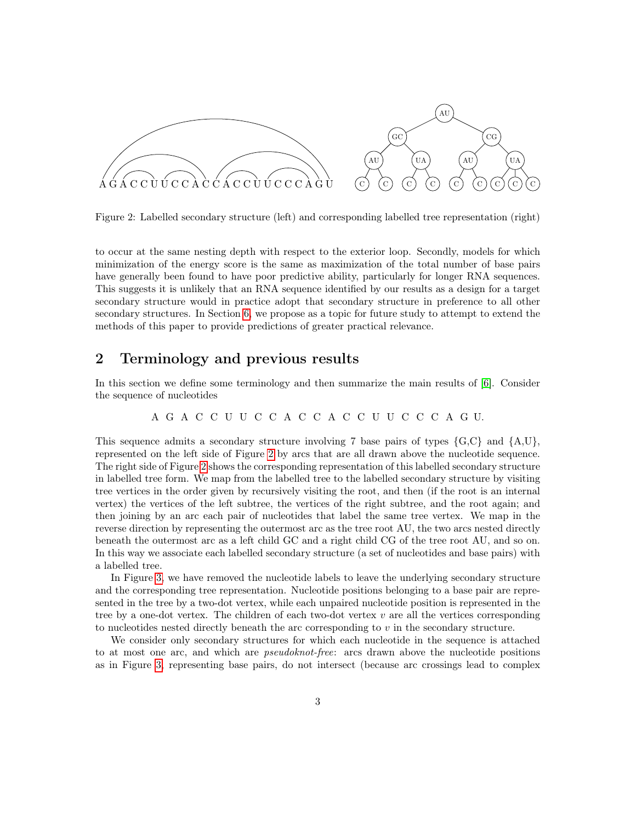<span id="page-2-0"></span>

Figure 2: Labelled secondary structure (left) and corresponding labelled tree representation (right)

to occur at the same nesting depth with respect to the exterior loop. Secondly, models for which minimization of the energy score is the same as maximization of the total number of base pairs have generally been found to have poor predictive ability, particularly for longer RNA sequences. This suggests it is unlikely that an RNA sequence identified by our results as a design for a target secondary structure would in practice adopt that secondary structure in preference to all other secondary structures. In Section [6,](#page-22-0) we propose as a topic for future study to attempt to extend the methods of this paper to provide predictions of greater practical relevance.

## 2 Terminology and previous results

In this section we define some terminology and then summarize the main results of [\[6\]](#page-23-10). Consider the sequence of nucleotides

A G A C C U U C C A C C A C C U U C C C A G U.

This sequence admits a secondary structure involving 7 base pairs of types  $\{G, C\}$  and  $\{A, U\}$ , represented on the left side of Figure [2](#page-2-0) by arcs that are all drawn above the nucleotide sequence. The right side of Figure [2](#page-2-0) shows the corresponding representation of this labelled secondary structure in labelled tree form. We map from the labelled tree to the labelled secondary structure by visiting tree vertices in the order given by recursively visiting the root, and then (if the root is an internal vertex) the vertices of the left subtree, the vertices of the right subtree, and the root again; and then joining by an arc each pair of nucleotides that label the same tree vertex. We map in the reverse direction by representing the outermost arc as the tree root AU, the two arcs nested directly beneath the outermost arc as a left child GC and a right child CG of the tree root AU, and so on. In this way we associate each labelled secondary structure (a set of nucleotides and base pairs) with a labelled tree.

In Figure [3,](#page-3-0) we have removed the nucleotide labels to leave the underlying secondary structure and the corresponding tree representation. Nucleotide positions belonging to a base pair are represented in the tree by a two-dot vertex, while each unpaired nucleotide position is represented in the tree by a one-dot vertex. The children of each two-dot vertex  $v$  are all the vertices corresponding to nucleotides nested directly beneath the arc corresponding to  $v$  in the secondary structure.

We consider only secondary structures for which each nucleotide in the sequence is attached to at most one arc, and which are pseudoknot-free: arcs drawn above the nucleotide positions as in Figure [3,](#page-3-0) representing base pairs, do not intersect (because arc crossings lead to complex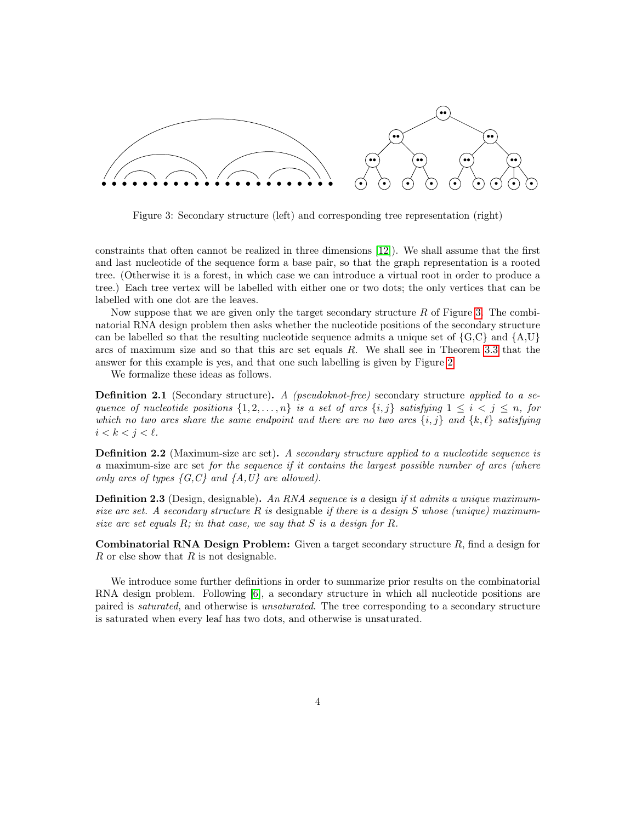<span id="page-3-0"></span>

Figure 3: Secondary structure (left) and corresponding tree representation (right)

constraints that often cannot be realized in three dimensions [\[12\]](#page-23-12)). We shall assume that the first and last nucleotide of the sequence form a base pair, so that the graph representation is a rooted tree. (Otherwise it is a forest, in which case we can introduce a virtual root in order to produce a tree.) Each tree vertex will be labelled with either one or two dots; the only vertices that can be labelled with one dot are the leaves.

Now suppose that we are given only the target secondary structure  $R$  of Figure [3.](#page-3-0) The combinatorial RNA design problem then asks whether the nucleotide positions of the secondary structure can be labelled so that the resulting nucleotide sequence admits a unique set of  $\{G, C\}$  and  $\{A, U\}$ arcs of maximum size and so that this arc set equals R. We shall see in Theorem [3.3](#page-6-0) that the answer for this example is yes, and that one such labelling is given by Figure [2.](#page-2-0)

We formalize these ideas as follows.

**Definition 2.1** (Secondary structure). A (pseudoknot-free) secondary structure applied to a sequence of nucleotide positions  $\{1, 2, ..., n\}$  is a set of arcs  $\{i, j\}$  satisfying  $1 \leq i < j \leq n$ , for which no two arcs share the same endpoint and there are no two arcs  $\{i, j\}$  and  $\{k, \ell\}$  satisfying  $i < k < j < \ell$ .

**Definition 2.2** (Maximum-size arc set). A secondary structure applied to a nucleotide sequence is a maximum-size arc set for the sequence if it contains the largest possible number of arcs (where only arcs of types  $\{G, C\}$  and  $\{A, U\}$  are allowed).

**Definition 2.3** (Design, designable). An RNA sequence is a design if it admits a unique maximumsize arc set. A secondary structure R is designable if there is a design S whose (unique) maximumsize arc set equals  $R$ ; in that case, we say that  $S$  is a design for  $R$ .

**Combinatorial RNA Design Problem:** Given a target secondary structure  $R$ , find a design for  $R$  or else show that  $R$  is not designable.

We introduce some further definitions in order to summarize prior results on the combinatorial RNA design problem. Following [\[6\]](#page-23-10), a secondary structure in which all nucleotide positions are paired is saturated, and otherwise is unsaturated. The tree corresponding to a secondary structure is saturated when every leaf has two dots, and otherwise is unsaturated.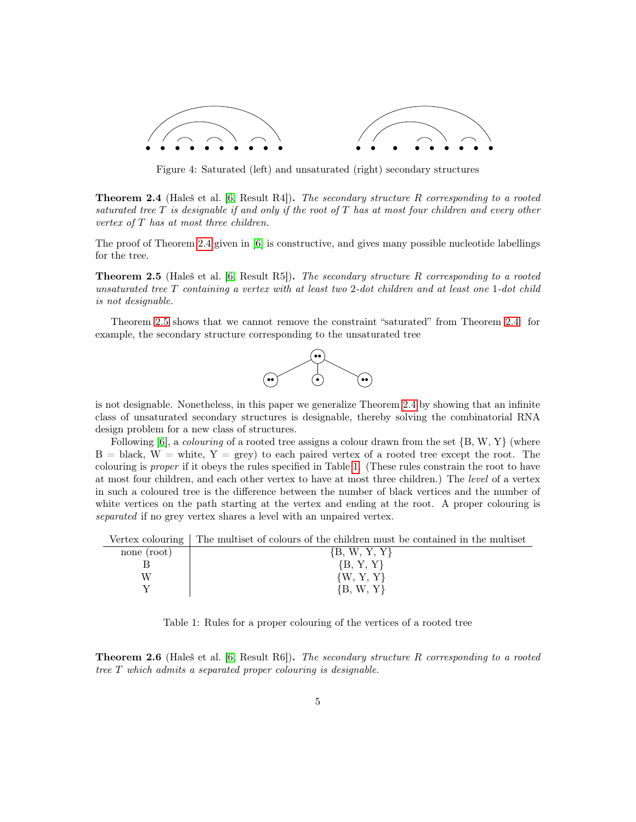

Figure 4: Saturated (left) and unsaturated (right) secondary structures

<span id="page-4-0"></span>**Theorem 2.4** (Haleš et al. [\[6,](#page-23-10) Result R4]). The secondary structure R corresponding to a rooted saturated tree  $T$  is designable if and only if the root of  $T$  has at most four children and every other vertex of  $T$  has at most three children.

The proof of Theorem [2.4](#page-4-0) given in [\[6\]](#page-23-10) is constructive, and gives many possible nucleotide labellings for the tree.

<span id="page-4-1"></span>**Theorem 2.5** (Haleš et al. [\[6,](#page-23-10) Result R5]). The secondary structure R corresponding to a rooted unsaturated tree  $T$  containing a vertex with at least two 2-dot children and at least one 1-dot child is not designable.

Theorem [2.5](#page-4-1) shows that we cannot remove the constraint "saturated" from Theorem [2.4:](#page-4-0) for example, the secondary structure corresponding to the unsaturated tree



is not designable. Nonetheless, in this paper we generalize Theorem [2.4](#page-4-0) by showing that an infinite class of unsaturated secondary structures is designable, thereby solving the combinatorial RNA design problem for a new class of structures.

Following  $[6]$ , a *colouring* of a rooted tree assigns a colour drawn from the set  $\{B, W, Y\}$  (where  $B = \text{black}, W = \text{white}, Y = \text{grey}$  to each paired vertex of a rooted tree except the root. The colouring is proper if it obeys the rules specified in Table [1.](#page-4-2) (These rules constrain the root to have at most four children, and each other vertex to have at most three children.) The level of a vertex in such a coloured tree is the difference between the number of black vertices and the number of white vertices on the path starting at the vertex and ending at the root. A proper colouring is separated if no grey vertex shares a level with an unpaired vertex.

<span id="page-4-2"></span>Vertex colouring | The multiset of colours of the children must be contained in the multiset

| none (root) | ${B, W, Y, Y}$ |
|-------------|----------------|
|             | ${B, Y, Y}$    |
| W           | $\{W, Y, Y\}$  |
|             | $\{B, W, Y\}$  |

Table 1: Rules for a proper colouring of the vertices of a rooted tree

<span id="page-4-3"></span>**Theorem 2.6** (Haleš et al. [\[6,](#page-23-10) Result R6]). The secondary structure R corresponding to a rooted tree T which admits a separated proper colouring is designable.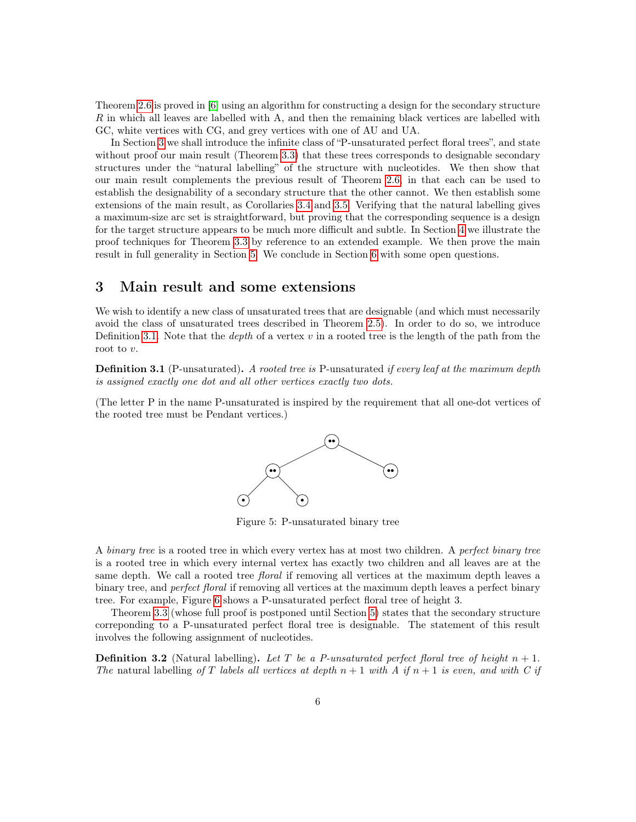Theorem [2.6](#page-4-3) is proved in [\[6\]](#page-23-10) using an algorithm for constructing a design for the secondary structure R in which all leaves are labelled with A, and then the remaining black vertices are labelled with GC, white vertices with CG, and grey vertices with one of AU and UA.

In Section [3](#page-5-0) we shall introduce the infinite class of "P-unsaturated perfect floral trees", and state without proof our main result (Theorem [3.3\)](#page-6-0) that these trees corresponds to designable secondary structures under the "natural labelling" of the structure with nucleotides. We then show that our main result complements the previous result of Theorem [2.6,](#page-4-3) in that each can be used to establish the designability of a secondary structure that the other cannot. We then establish some extensions of the main result, as Corollaries [3.4](#page-7-0) and [3.5.](#page-8-0) Verifying that the natural labelling gives a maximum-size arc set is straightforward, but proving that the corresponding sequence is a design for the target structure appears to be much more difficult and subtle. In Section [4](#page-9-0) we illustrate the proof techniques for Theorem [3.3](#page-6-0) by reference to an extended example. We then prove the main result in full generality in Section [5.](#page-15-0) We conclude in Section [6](#page-22-0) with some open questions.

# <span id="page-5-0"></span>3 Main result and some extensions

We wish to identify a new class of unsaturated trees that are designable (and which must necessarily avoid the class of unsaturated trees described in Theorem [2.5\)](#page-4-1). In order to do so, we introduce Definition [3.1.](#page-5-1) Note that the *depth* of a vertex  $v$  in a rooted tree is the length of the path from the root to v.

<span id="page-5-1"></span>**Definition 3.1** (P-unsaturated). A rooted tree is P-unsaturated if every leaf at the maximum depth is assigned exactly one dot and all other vertices exactly two dots.

(The letter P in the name P-unsaturated is inspired by the requirement that all one-dot vertices of the rooted tree must be Pendant vertices.)



Figure 5: P-unsaturated binary tree

A binary tree is a rooted tree in which every vertex has at most two children. A perfect binary tree is a rooted tree in which every internal vertex has exactly two children and all leaves are at the same depth. We call a rooted tree *floral* if removing all vertices at the maximum depth leaves a binary tree, and *perfect floral* if removing all vertices at the maximum depth leaves a perfect binary tree. For example, Figure [6](#page-6-1) shows a P-unsaturated perfect floral tree of height 3.

Theorem [3.3](#page-6-0) (whose full proof is postponed until Section [5\)](#page-15-0) states that the secondary structure correponding to a P-unsaturated perfect floral tree is designable. The statement of this result involves the following assignment of nucleotides.

**Definition 3.2** (Natural labelling). Let T be a P-unsaturated perfect floral tree of height  $n + 1$ . The natural labelling of T labels all vertices at depth  $n+1$  with A if  $n+1$  is even, and with C if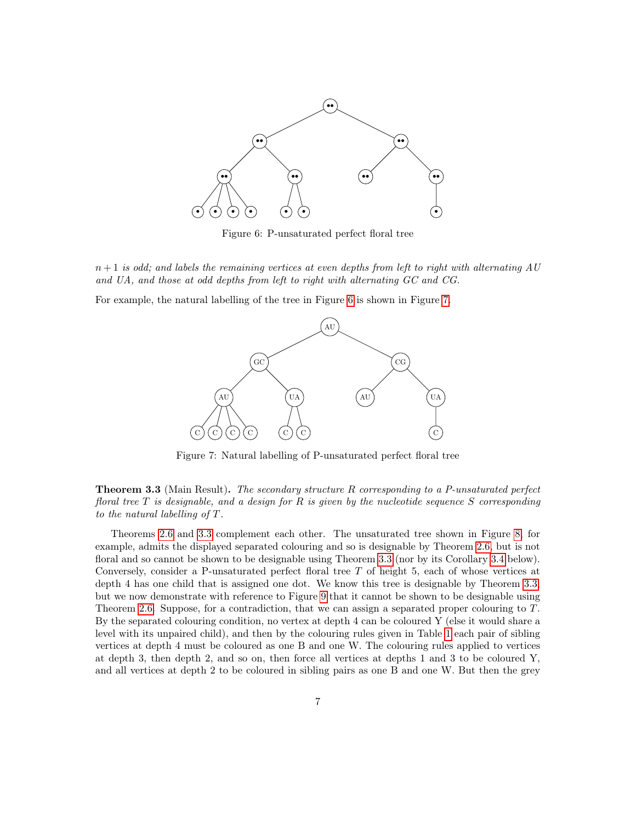<span id="page-6-1"></span>

Figure 6: P-unsaturated perfect floral tree

 $n+1$  is odd; and labels the remaining vertices at even depths from left to right with alternating AU and UA, and those at odd depths from left to right with alternating GC and CG.

<span id="page-6-2"></span>For example, the natural labelling of the tree in Figure [6](#page-6-1) is shown in Figure [7.](#page-6-2)



Figure 7: Natural labelling of P-unsaturated perfect floral tree

<span id="page-6-0"></span>**Theorem 3.3** (Main Result). The secondary structure R corresponding to a P-unsaturated perfect floral tree  $T$  is designable, and a design for  $R$  is given by the nucleotide sequence  $S$  corresponding to the natural labelling of T.

Theorems [2.6](#page-4-3) and [3.3](#page-6-0) complement each other. The unsaturated tree shown in Figure [8,](#page-7-1) for example, admits the displayed separated colouring and so is designable by Theorem [2.6,](#page-4-3) but is not floral and so cannot be shown to be designable using Theorem [3.3](#page-6-0) (nor by its Corollary [3.4](#page-7-0) below). Conversely, consider a P-unsaturated perfect floral tree T of height 5, each of whose vertices at depth 4 has one child that is assigned one dot. We know this tree is designable by Theorem [3.3,](#page-6-0) but we now demonstrate with reference to Figure [9](#page-7-2) that it cannot be shown to be designable using Theorem [2.6.](#page-4-3) Suppose, for a contradiction, that we can assign a separated proper colouring to T. By the separated colouring condition, no vertex at depth 4 can be coloured Y (else it would share a level with its unpaired child), and then by the colouring rules given in Table [1](#page-4-2) each pair of sibling vertices at depth 4 must be coloured as one B and one W. The colouring rules applied to vertices at depth 3, then depth 2, and so on, then force all vertices at depths 1 and 3 to be coloured Y, and all vertices at depth 2 to be coloured in sibling pairs as one B and one W. But then the grey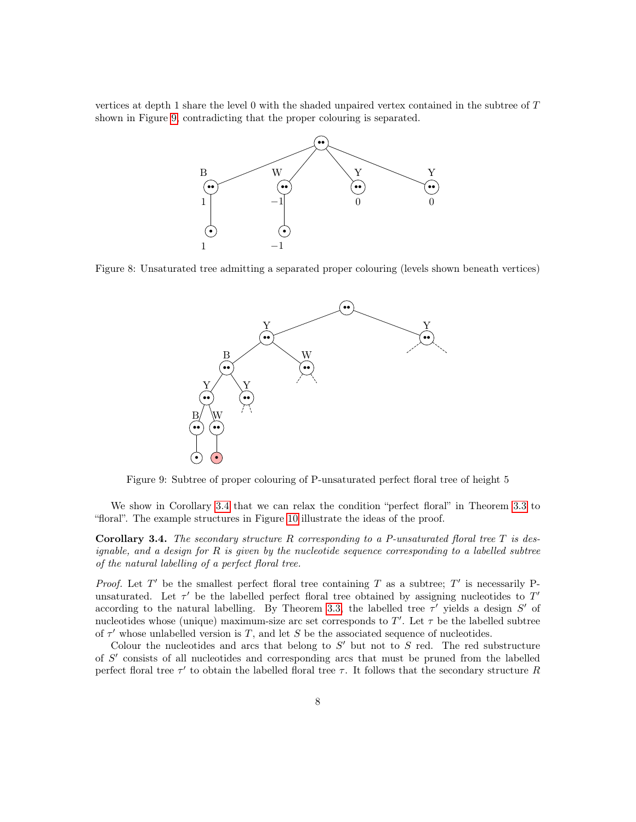<span id="page-7-1"></span>vertices at depth 1 share the level 0 with the shaded unpaired vertex contained in the subtree of T shown in Figure [9,](#page-7-2) contradicting that the proper colouring is separated.



<span id="page-7-2"></span>Figure 8: Unsaturated tree admitting a separated proper colouring (levels shown beneath vertices)



Figure 9: Subtree of proper colouring of P-unsaturated perfect floral tree of height 5

We show in Corollary [3.4](#page-7-0) that we can relax the condition "perfect floral" in Theorem [3.3](#page-6-0) to "floral". The example structures in Figure [10](#page-8-1) illustrate the ideas of the proof.

<span id="page-7-0"></span>**Corollary 3.4.** The secondary structure R corresponding to a P-unsaturated floral tree  $T$  is designable, and a design for  $R$  is given by the nucleotide sequence corresponding to a labelled subtree of the natural labelling of a perfect floral tree.

*Proof.* Let T' be the smallest perfect floral tree containing T as a subtree; T' is necessarily Punsaturated. Let  $\tau'$  be the labelled perfect floral tree obtained by assigning nucleotides to  $T'$ according to the natural labelling. By Theorem [3.3,](#page-6-0) the labelled tree  $\tau'$  yields a design  $S'$  of nucleotides whose (unique) maximum-size arc set corresponds to T'. Let  $\tau$  be the labelled subtree of  $\tau'$  whose unlabelled version is T, and let S be the associated sequence of nucleotides.

Colour the nucleotides and arcs that belong to  $S'$  but not to  $S$  red. The red substructure of  $S'$  consists of all nucleotides and corresponding arcs that must be pruned from the labelled perfect floral tree  $\tau'$  to obtain the labelled floral tree  $\tau$ . It follows that the secondary structure R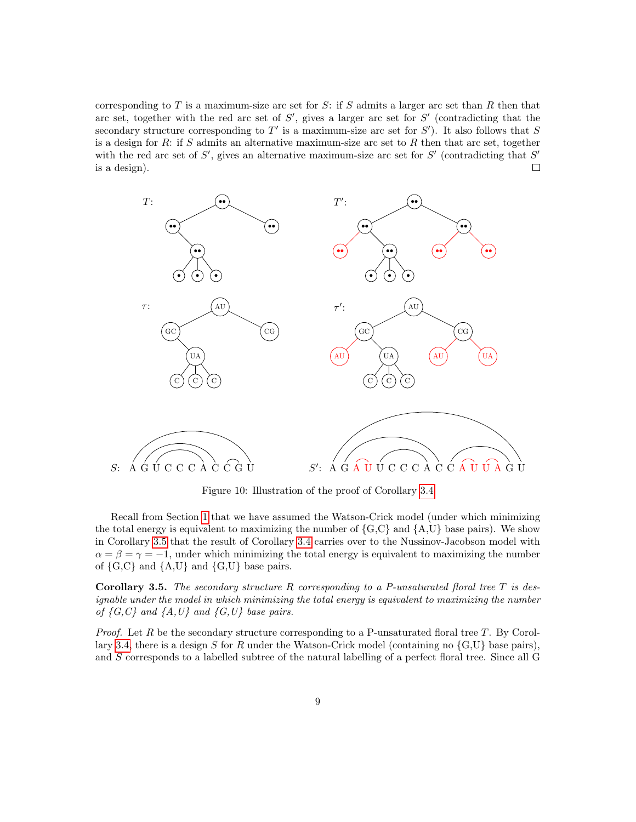corresponding to  $T$  is a maximum-size arc set for  $S$ : if  $S$  admits a larger arc set than  $R$  then that arc set, together with the red arc set of  $S'$ , gives a larger arc set for  $S'$  (contradicting that the secondary structure corresponding to  $T'$  is a maximum-size arc set for  $S'$ ). It also follows that S is a design for  $R$ : if  $S$  admits an alternative maximum-size arc set to  $R$  then that arc set, together with the red arc set of  $S'$ , gives an alternative maximum-size arc set for  $S'$  (contradicting that  $S'$ is a design).  $\Box$ 

<span id="page-8-1"></span>

Figure 10: Illustration of the proof of Corollary [3.4](#page-7-0)

Recall from Section [1](#page-0-0) that we have assumed the Watson-Crick model (under which minimizing the total energy is equivalent to maximizing the number of  ${G, C}$  and  ${A, U}$  base pairs). We show in Corollary [3.5](#page-8-0) that the result of Corollary [3.4](#page-7-0) carries over to the Nussinov-Jacobson model with  $\alpha = \beta = \gamma = -1$ , under which minimizing the total energy is equivalent to maximizing the number of  $\{G, C\}$  and  $\{A, U\}$  and  $\{G, U\}$  base pairs.

<span id="page-8-0"></span>**Corollary 3.5.** The secondary structure R corresponding to a P-unsaturated floral tree T is designable under the model in which minimizing the total energy is equivalent to maximizing the number of  $\{G, C\}$  and  $\{A, U\}$  and  $\{G, U\}$  base pairs.

*Proof.* Let  $R$  be the secondary structure corresponding to a P-unsaturated floral tree  $T$ . By Corol-lary [3.4,](#page-7-0) there is a design S for R under the Watson-Crick model (containing no  $\{G, U\}$  base pairs), and S corresponds to a labelled subtree of the natural labelling of a perfect floral tree. Since all G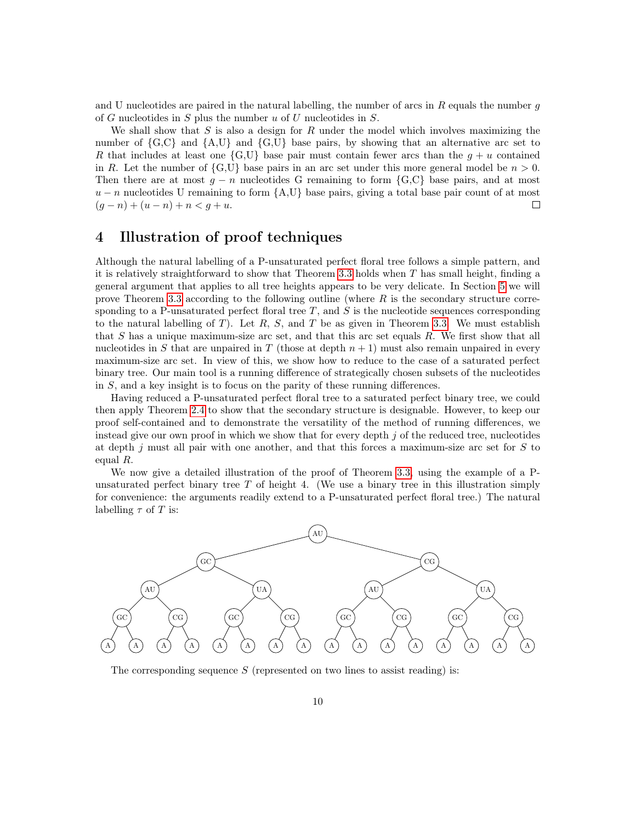and U nucleotides are paired in the natural labelling, the number of arcs in  $R$  equals the number  $g$ of G nucleotides in  $S$  plus the number  $u$  of  $U$  nucleotides in  $S$ .

We shall show that  $S$  is also a design for  $R$  under the model which involves maximizing the number of  $\{G, C\}$  and  $\{A, U\}$  and  $\{G, U\}$  base pairs, by showing that an alternative arc set to R that includes at least one  $\{G, U\}$  base pair must contain fewer arcs than the  $q + u$  contained in R. Let the number of  $\{G, U\}$  base pairs in an arc set under this more general model be  $n > 0$ . Then there are at most  $g - n$  nucleotides G remaining to form  $\{G, C\}$  base pairs, and at most  $u - n$  nucleotides U remaining to form  ${A, U}$  base pairs, giving a total base pair count of at most  $(g - n) + (u - n) + n < g + u$ .  $\Box$ 

# <span id="page-9-0"></span>4 Illustration of proof techniques

Although the natural labelling of a P-unsaturated perfect floral tree follows a simple pattern, and it is relatively straightforward to show that Theorem [3.3](#page-6-0) holds when  $T$  has small height, finding a general argument that applies to all tree heights appears to be very delicate. In Section [5](#page-15-0) we will prove Theorem [3.3](#page-6-0) according to the following outline (where  $R$  is the secondary structure corresponding to a P-unsaturated perfect floral tree  $T$ , and  $S$  is the nucleotide sequences corresponding to the natural labelling of T). Let  $R$ ,  $S$ , and T be as given in Theorem [3.3.](#page-6-0) We must establish that  $S$  has a unique maximum-size arc set, and that this arc set equals  $R$ . We first show that all nucleotides in S that are unpaired in T (those at depth  $n + 1$ ) must also remain unpaired in every maximum-size arc set. In view of this, we show how to reduce to the case of a saturated perfect binary tree. Our main tool is a running difference of strategically chosen subsets of the nucleotides in S, and a key insight is to focus on the parity of these running differences.

Having reduced a P-unsaturated perfect floral tree to a saturated perfect binary tree, we could then apply Theorem [2.4](#page-4-0) to show that the secondary structure is designable. However, to keep our proof self-contained and to demonstrate the versatility of the method of running differences, we instead give our own proof in which we show that for every depth  $j$  of the reduced tree, nucleotides at depth  $j$  must all pair with one another, and that this forces a maximum-size arc set for  $S$  to equal R.

We now give a detailed illustration of the proof of Theorem [3.3,](#page-6-0) using the example of a Punsaturated perfect binary tree  $T$  of height 4. (We use a binary tree in this illustration simply for convenience: the arguments readily extend to a P-unsaturated perfect floral tree.) The natural labelling  $\tau$  of T is:



The corresponding sequence  $S$  (represented on two lines to assist reading) is: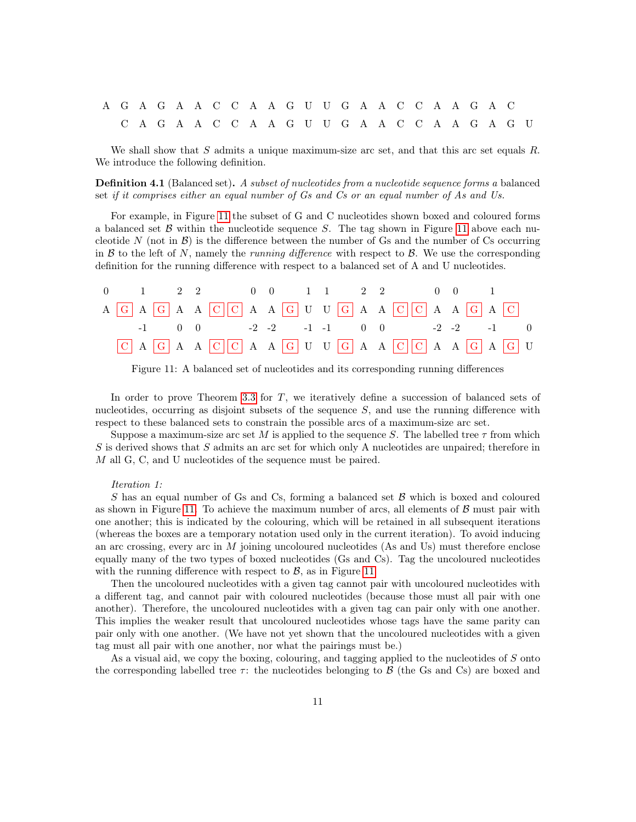# A G A G A A C C A A G U U G A A C C A A G A C C A G A A C C A A G U U G A A C C A A G A G U

We shall show that S admits a unique maximum-size arc set, and that this arc set equals R. We introduce the following definition.

**Definition 4.1** (Balanced set). A subset of nucleotides from a nucleotide sequence forms a balanced set if it comprises either an equal number of Gs and Cs or an equal number of As and Us.

For example, in Figure [11](#page-10-0) the subset of G and C nucleotides shown boxed and coloured forms a balanced set  $\beta$  within the nucleotide sequence  $S$ . The tag shown in Figure [11](#page-10-0) above each nucleotide N (not in  $\mathcal{B}$ ) is the difference between the number of Gs and the number of Cs occurring in B to the left of N, namely the *running difference* with respect to B. We use the corresponding definition for the running difference with respect to a balanced set of A and U nucleotides.

<span id="page-10-0"></span>

|  |  | $0 \t 1 \t 2 \t 2 \t 0 \t 0 \t 1 \t 1 \t 2 \t 2 \t 0 \t 0 \t 1$                                                                                   |  |  |  |  |  |
|--|--|---------------------------------------------------------------------------------------------------------------------------------------------------|--|--|--|--|--|
|  |  | A G A G A A C C A A G U U G A A C C A A G A C                                                                                                     |  |  |  |  |  |
|  |  | $-1$ 0 0 $-2$ $-2$ $-1$ $-1$ 0 0 $-2$ $-2$ $-1$ 0                                                                                                 |  |  |  |  |  |
|  |  | $\boxed{C}$ A $\boxed{G}$ A A $\boxed{C}$ $\boxed{C}$ A A $\boxed{G}$ U U $\boxed{G}$ A A $\boxed{C}$ $\boxed{C}$ A A $\boxed{G}$ A $\boxed{G}$ U |  |  |  |  |  |

Figure 11: A balanced set of nucleotides and its corresponding running differences

In order to prove Theorem [3.3](#page-6-0) for T, we iteratively define a succession of balanced sets of nucleotides, occurring as disjoint subsets of the sequence  $S$ , and use the running difference with respect to these balanced sets to constrain the possible arcs of a maximum-size arc set.

Suppose a maximum-size arc set M is applied to the sequence S. The labelled tree  $\tau$  from which S is derived shows that S admits an arc set for which only A nucleotides are unpaired; therefore in M all G, C, and U nucleotides of the sequence must be paired.

#### Iteration 1:

 $S$  has an equal number of Gs and Cs, forming a balanced set  $\beta$  which is boxed and coloured as shown in Figure [11.](#page-10-0) To achieve the maximum number of arcs, all elements of  $\beta$  must pair with one another; this is indicated by the colouring, which will be retained in all subsequent iterations (whereas the boxes are a temporary notation used only in the current iteration). To avoid inducing an arc crossing, every arc in M joining uncoloured nucleotides (As and Us) must therefore enclose equally many of the two types of boxed nucleotides (Gs and Cs). Tag the uncoloured nucleotides with the running difference with respect to  $\beta$ , as in Figure [11.](#page-10-0)

Then the uncoloured nucleotides with a given tag cannot pair with uncoloured nucleotides with a different tag, and cannot pair with coloured nucleotides (because those must all pair with one another). Therefore, the uncoloured nucleotides with a given tag can pair only with one another. This implies the weaker result that uncoloured nucleotides whose tags have the same parity can pair only with one another. (We have not yet shown that the uncoloured nucleotides with a given tag must all pair with one another, nor what the pairings must be.)

As a visual aid, we copy the boxing, colouring, and tagging applied to the nucleotides of S onto the corresponding labelled tree  $\tau$ : the nucleotides belonging to  $\beta$  (the Gs and Cs) are boxed and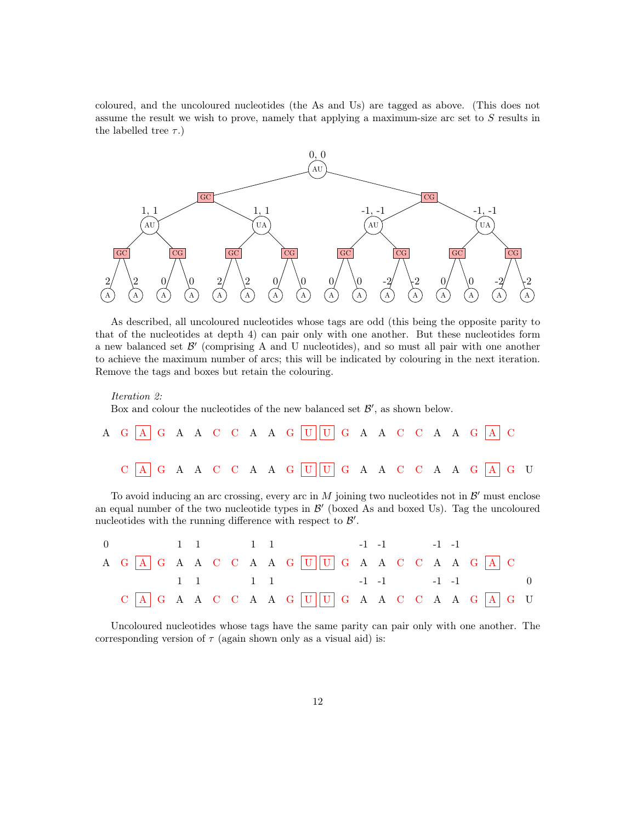coloured, and the uncoloured nucleotides (the As and Us) are tagged as above. (This does not assume the result we wish to prove, namely that applying a maximum-size arc set to S results in the labelled tree  $\tau$ .)



As described, all uncoloured nucleotides whose tags are odd (this being the opposite parity to that of the nucleotides at depth 4) can pair only with one another. But these nucleotides form a new balanced set  $\mathcal{B}'$  (comprising A and U nucleotides), and so must all pair with one another to achieve the maximum number of arcs; this will be indicated by colouring in the next iteration. Remove the tags and boxes but retain the colouring.

```
Iteration 2:
```
Box and colour the nucleotides of the new balanced set  $\mathcal{B}'$ , as shown below.

|  |  |  |  | A G A G A A C C A A G U U G A A C C A A G A C C A A G A C C A A G A C C A A G A C C A A G A C C A A G A C C A A G A C C A A G A C C A A G A C C A A G A C C A A G A C C A A G A C C A A G A C C A A G A C C A A G A C C A A G |  |  |  |  |
|--|--|--|--|-------------------------------------------------------------------------------------------------------------------------------------------------------------------------------------------------------------------------------|--|--|--|--|
|  |  |  |  |                                                                                                                                                                                                                               |  |  |  |  |

To avoid inducing an arc crossing, every arc in  $M$  joining two nucleotides not in  $\mathcal{B}'$  must enclose an equal number of the two nucleotide types in  $\mathcal{B}'$  (boxed As and boxed Us). Tag the uncoloured nucleotides with the running difference with respect to  $\mathcal{B}'$ .

|  |  |  |  | 0 1 1 1 1 1 -1 -1 -1 -1                                                                                                                                                                                                     |  |  |  |  |
|--|--|--|--|-----------------------------------------------------------------------------------------------------------------------------------------------------------------------------------------------------------------------------|--|--|--|--|
|  |  |  |  | A G A G A A C C A A G U U G A A C C A A G A C C A G A C C A A G A C C A A G A C C A A G A C C A A G A C C A A G A C C A A G A C C A A G A C C A A G A C C A A G A C C A A G A C C A A G A C C A A G A C C A A G A C C A A G |  |  |  |  |
|  |  |  |  | $1 \quad 1 \quad 1 \quad 1$ $-1 \quad -1 \quad -1 \quad 0$                                                                                                                                                                  |  |  |  |  |
|  |  |  |  |                                                                                                                                                                                                                             |  |  |  |  |

Uncoloured nucleotides whose tags have the same parity can pair only with one another. The corresponding version of  $\tau$  (again shown only as a visual aid) is: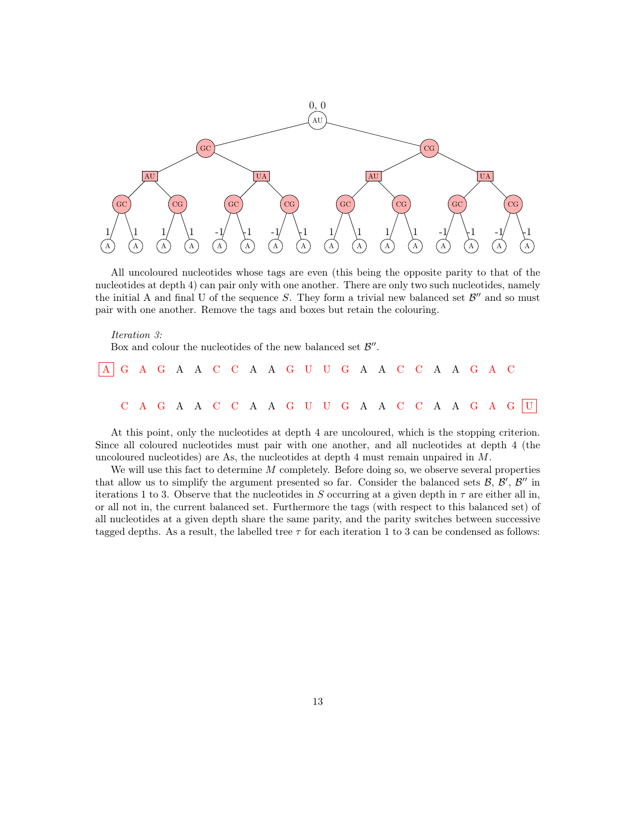

All uncoloured nucleotides whose tags are even (this being the opposite parity to that of the nucleotides at depth 4) can pair only with one another. There are only two such nucleotides, namely the initial A and final U of the sequence S. They form a trivial new balanced set  $\mathcal{B}''$  and so must pair with one another. Remove the tags and boxes but retain the colouring.

#### Iteration 3:

Box and colour the nucleotides of the new balanced set  $\mathcal{B}''$ .

| AGAGAACCAAGUUGAACCAAGAC                       |  |  |  |  |  |  |  |  |  |  |  |
|-----------------------------------------------|--|--|--|--|--|--|--|--|--|--|--|
|                                               |  |  |  |  |  |  |  |  |  |  |  |
| C A G A A C C A A G U U G A A C C A A G A G U |  |  |  |  |  |  |  |  |  |  |  |

At this point, only the nucleotides at depth 4 are uncoloured, which is the stopping criterion. Since all coloured nucleotides must pair with one another, and all nucleotides at depth 4 (the uncoloured nucleotides) are As, the nucleotides at depth 4 must remain unpaired in  $M$ .

We will use this fact to determine M completely. Before doing so, we observe several properties that allow us to simplify the argument presented so far. Consider the balanced sets  $\mathcal{B}, \mathcal{B}', \mathcal{B}''$  in iterations 1 to 3. Observe that the nucleotides in S occurring at a given depth in  $\tau$  are either all in, or all not in, the current balanced set. Furthermore the tags (with respect to this balanced set) of all nucleotides at a given depth share the same parity, and the parity switches between successive tagged depths. As a result, the labelled tree  $\tau$  for each iteration 1 to 3 can be condensed as follows: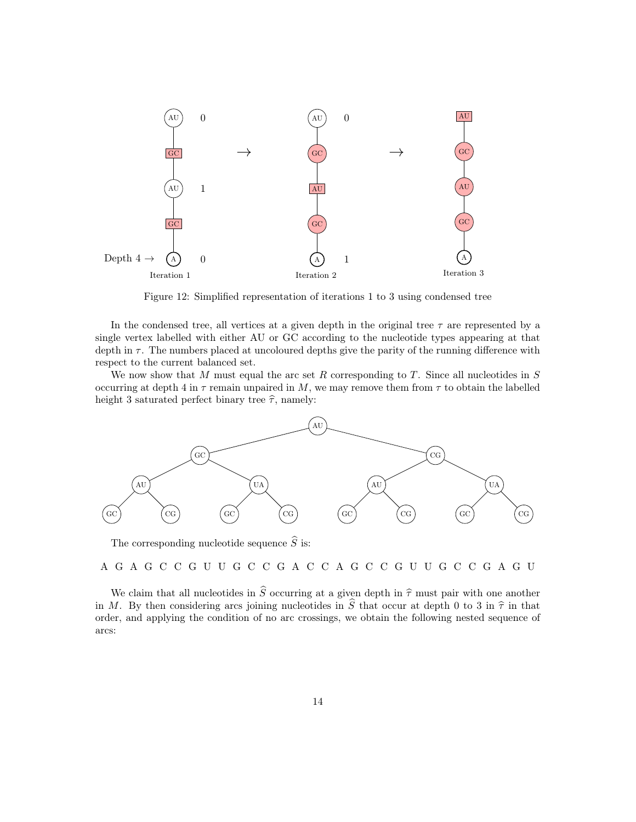<span id="page-13-0"></span>

Figure 12: Simplified representation of iterations 1 to 3 using condensed tree

In the condensed tree, all vertices at a given depth in the original tree  $\tau$  are represented by a single vertex labelled with either AU or GC according to the nucleotide types appearing at that depth in  $\tau$ . The numbers placed at uncoloured depths give the parity of the running difference with respect to the current balanced set.

We now show that M must equal the arc set R corresponding to  $T$ . Since all nucleotides in  $S$ occurring at depth 4 in  $\tau$  remain unpaired in M, we may remove them from  $\tau$  to obtain the labelled height 3 saturated perfect binary tree  $\hat{\tau}$ , namely:



The corresponding nucleotide sequence  $\widehat{S}$  is:

A G A G C C G U U G C C G A C C A G C C G U U G C C G A G U

We claim that all nucleotides in  $\hat{S}$  occurring at a given depth in  $\hat{\tau}$  must pair with one another in M. By then considering arcs joining nucleotides in  $\hat{S}$  that occur at depth 0 to 3 in  $\hat{\tau}$  in that order, and applying the condition of no arc crossings, we obtain the following nested sequence of arcs: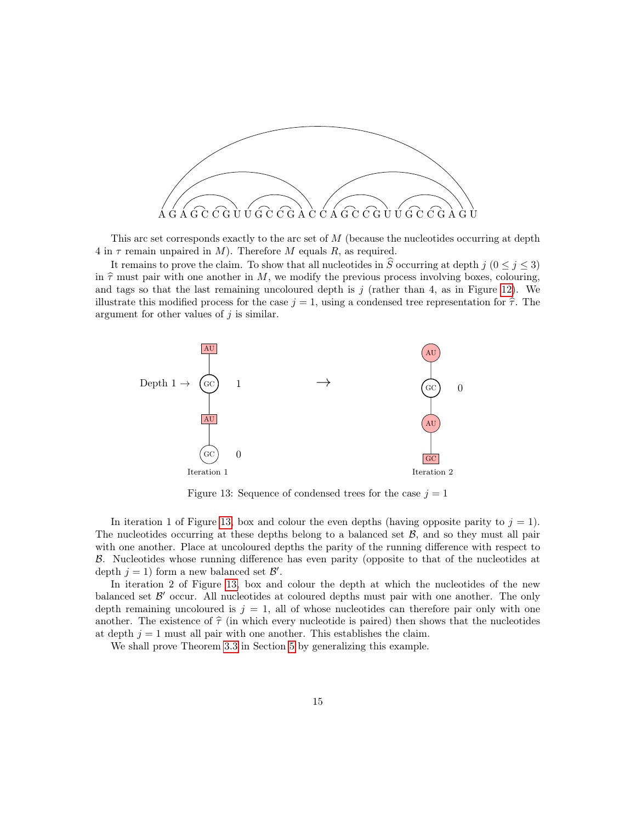

This arc set corresponds exactly to the arc set of  $M$  (because the nucleotides occurring at depth 4 in  $\tau$  remain unpaired in M). Therefore M equals R, as required.

It remains to prove the claim. To show that all nucleotides in  $\hat{S}$  occurring at depth j  $(0 \leq j \leq 3)$ in  $\hat{\tau}$  must pair with one another in M, we modify the previous process involving boxes, colouring, and tags so that the last remaining uncoloured depth is  $j$  (rather than 4, as in Figure [12\)](#page-13-0). We illustrate this modified process for the case  $j = 1$ , using a condensed tree representation for  $\hat{\tau}$ . The argument for other values of  $j$  is similar.

<span id="page-14-0"></span>

Figure 13: Sequence of condensed trees for the case  $j = 1$ 

In iteration 1 of Figure [13,](#page-14-0) box and colour the even depths (having opposite parity to  $j = 1$ ). The nucleotides occurring at these depths belong to a balanced set  $\mathcal{B}$ , and so they must all pair with one another. Place at uncoloured depths the parity of the running difference with respect to B. Nucleotides whose running difference has even parity (opposite to that of the nucleotides at depth  $j = 1$ ) form a new balanced set  $\mathcal{B}'$ .

In iteration 2 of Figure [13,](#page-14-0) box and colour the depth at which the nucleotides of the new balanced set  $\mathcal{B}'$  occur. All nucleotides at coloured depths must pair with one another. The only depth remaining uncoloured is  $j = 1$ , all of whose nucleotides can therefore pair only with one another. The existence of  $\hat{\tau}$  (in which every nucleotide is paired) then shows that the nucleotides at depth  $j = 1$  must all pair with one another. This establishes the claim.

We shall prove Theorem [3.3](#page-6-0) in Section [5](#page-15-0) by generalizing this example.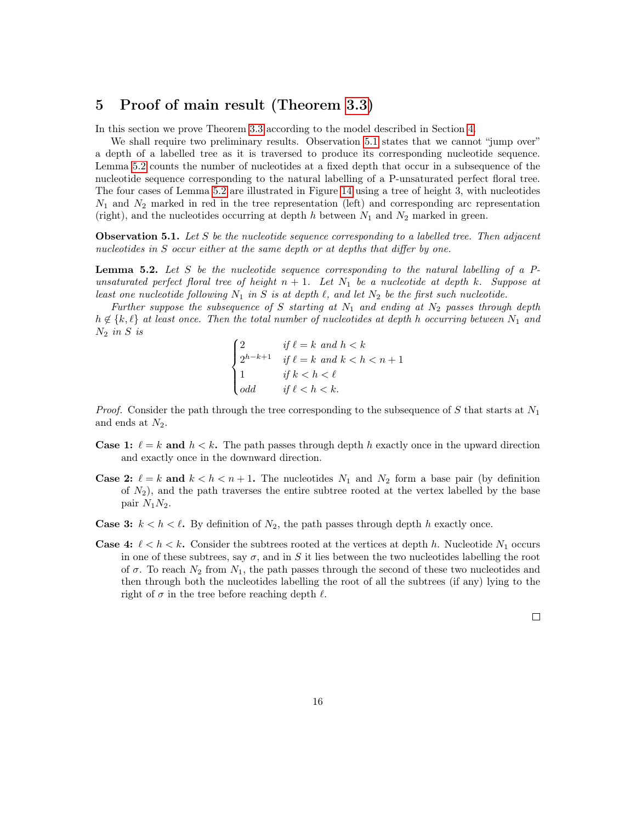# <span id="page-15-0"></span>5 Proof of main result (Theorem [3.3\)](#page-6-0)

In this section we prove Theorem [3.3](#page-6-0) according to the model described in Section [4.](#page-9-0)

We shall require two preliminary results. Observation [5.1](#page-15-1) states that we cannot "jump over" a depth of a labelled tree as it is traversed to produce its corresponding nucleotide sequence. Lemma [5.2](#page-15-2) counts the number of nucleotides at a fixed depth that occur in a subsequence of the nucleotide sequence corresponding to the natural labelling of a P-unsaturated perfect floral tree. The four cases of Lemma [5.2](#page-15-2) are illustrated in Figure [14](#page-16-0) using a tree of height 3, with nucleotides  $N_1$  and  $N_2$  marked in red in the tree representation (left) and corresponding arc representation (right), and the nucleotides occurring at depth h between  $N_1$  and  $N_2$  marked in green.

<span id="page-15-1"></span>**Observation 5.1.** Let S be the nucleotide sequence corresponding to a labelled tree. Then adjacent nucleotides in S occur either at the same depth or at depths that differ by one.

<span id="page-15-2"></span>**Lemma 5.2.** Let S be the nucleotide sequence corresponding to the natural labelling of a  $P$ unsaturated perfect floral tree of height  $n + 1$ . Let  $N_1$  be a nucleotide at depth k. Suppose at least one nucleotide following  $N_1$  in S is at depth  $\ell$ , and let  $N_2$  be the first such nucleotide.

Further suppose the subsequence of S starting at  $N_1$  and ending at  $N_2$  passes through depth  $h \notin \{k, \ell\}$  at least once. Then the total number of nucleotides at depth h occurring between  $N_1$  and  $N_2$  in S is

$$
\begin{cases} 2 & \text{if } \ell = k \text{ and } h < k \\ 2^{h-k+1} & \text{if } \ell = k \text{ and } k < h < n+1 \\ 1 & \text{if } k < h < \ell \\ odd & \text{if } \ell < h < k. \end{cases}
$$

*Proof.* Consider the path through the tree corresponding to the subsequence of S that starts at  $N_1$ and ends at  $N_2$ .

- **Case 1:**  $\ell = k$  and  $h < k$ . The path passes through depth h exactly once in the upward direction and exactly once in the downward direction.
- **Case 2:**  $\ell = k$  and  $k < h < n + 1$ . The nucleotides  $N_1$  and  $N_2$  form a base pair (by definition of  $N_2$ ), and the path traverses the entire subtree rooted at the vertex labelled by the base pair  $N_1N_2$ .
- **Case 3:**  $k < h < \ell$ . By definition of  $N_2$ , the path passes through depth h exactly once.
- **Case 4:**  $\ell < h < k$ . Consider the subtrees rooted at the vertices at depth h. Nucleotide  $N_1$  occurs in one of these subtrees, say  $\sigma$ , and in S it lies between the two nucleotides labelling the root of  $\sigma$ . To reach  $N_2$  from  $N_1$ , the path passes through the second of these two nucleotides and then through both the nucleotides labelling the root of all the subtrees (if any) lying to the right of  $\sigma$  in the tree before reaching depth  $\ell$ .

 $\Box$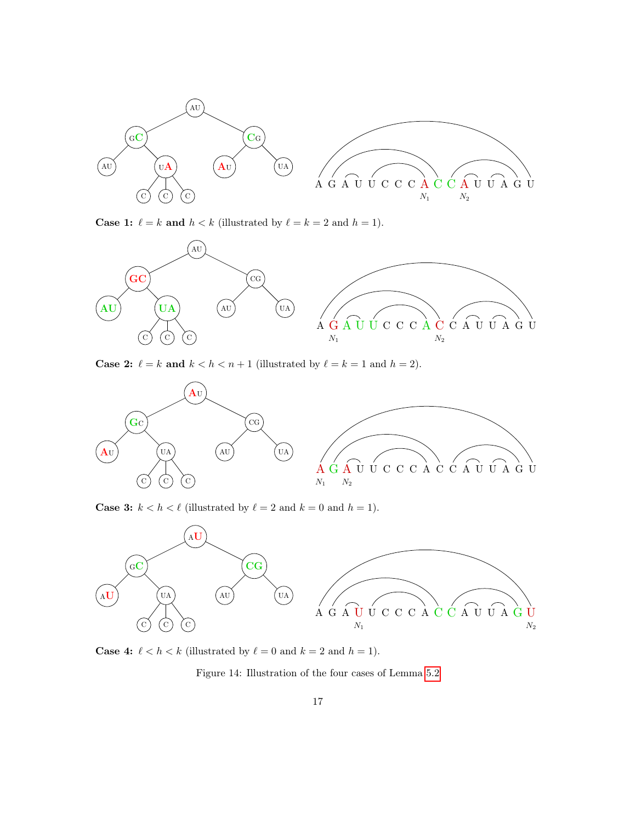<span id="page-16-0"></span>

**Case 1:**  $\ell = k$  and  $h < k$  (illustrated by  $\ell = k = 2$  and  $h = 1$ ).



**Case 2:**  $\ell = k$  and  $k < h < n + 1$  (illustrated by  $\ell = k = 1$  and  $h = 2$ ).



**Case 3:**  $k < h < \ell$  (illustrated by  $\ell = 2$  and  $k = 0$  and  $h = 1$ ).



**Case 4:**  $\ell < h < k$  (illustrated by  $\ell = 0$  and  $k = 2$  and  $h = 1$ ).

Figure 14: Illustration of the four cases of Lemma [5.2](#page-15-2)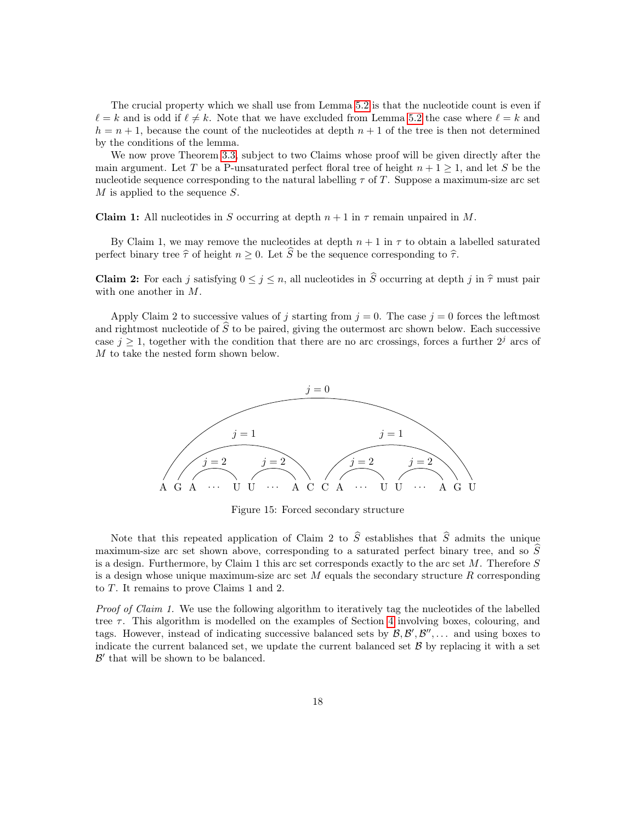The crucial property which we shall use from Lemma [5.2](#page-15-2) is that the nucleotide count is even if  $\ell = k$  and is odd if  $\ell \neq k$ . Note that we have excluded from Lemma [5.2](#page-15-2) the case where  $\ell = k$  and  $h = n + 1$ , because the count of the nucleotides at depth  $n + 1$  of the tree is then not determined by the conditions of the lemma.

We now prove Theorem [3.3,](#page-6-0) subject to two Claims whose proof will be given directly after the main argument. Let T be a P-unsaturated perfect floral tree of height  $n + 1 \geq 1$ , and let S be the nucleotide sequence corresponding to the natural labelling  $\tau$  of T. Suppose a maximum-size arc set  $M$  is applied to the sequence  $S$ .

**Claim 1:** All nucleotides in S occurring at depth  $n + 1$  in  $\tau$  remain unpaired in M.

By Claim 1, we may remove the nucleotides at depth  $n+1$  in  $\tau$  to obtain a labelled saturated perfect binary tree  $\hat{\tau}$  of height  $n \geq 0$ . Let  $\hat{S}$  be the sequence corresponding to  $\hat{\tau}$ .

**Claim 2:** For each j satisfying  $0 \le j \le n$ , all nucleotides in  $\widehat{S}$  occurring at depth j in  $\widehat{\tau}$  must pair with one another in M.

Apply Claim 2 to successive values of j starting from  $j = 0$ . The case  $j = 0$  forces the leftmost and rightmost nucleotide of  $S$  to be paired, giving the outermost arc shown below. Each successive case  $j \geq 1$ , together with the condition that there are no arc crossings, forces a further  $2^{j}$  arcs of M to take the nested form shown below.



Figure 15: Forced secondary structure

Note that this repeated application of Claim 2 to  $\hat{S}$  establishes that  $\hat{S}$  admits the unique maximum-size arc set shown above, corresponding to a saturated perfect binary tree, and so  $S$ is a design. Furthermore, by Claim 1 this arc set corresponds exactly to the arc set M. Therefore S is a design whose unique maximum-size arc set  $M$  equals the secondary structure  $R$  corresponding to T. It remains to prove Claims 1 and 2.

Proof of Claim 1. We use the following algorithm to iteratively tag the nucleotides of the labelled tree  $\tau$ . This algorithm is modelled on the examples of Section [4](#page-9-0) involving boxes, colouring, and tags. However, instead of indicating successive balanced sets by  $\mathcal{B}, \mathcal{B}', \mathcal{B}'', \dots$  and using boxes to indicate the current balanced set, we update the current balanced set  $\beta$  by replacing it with a set  $\mathcal{B}'$  that will be shown to be balanced.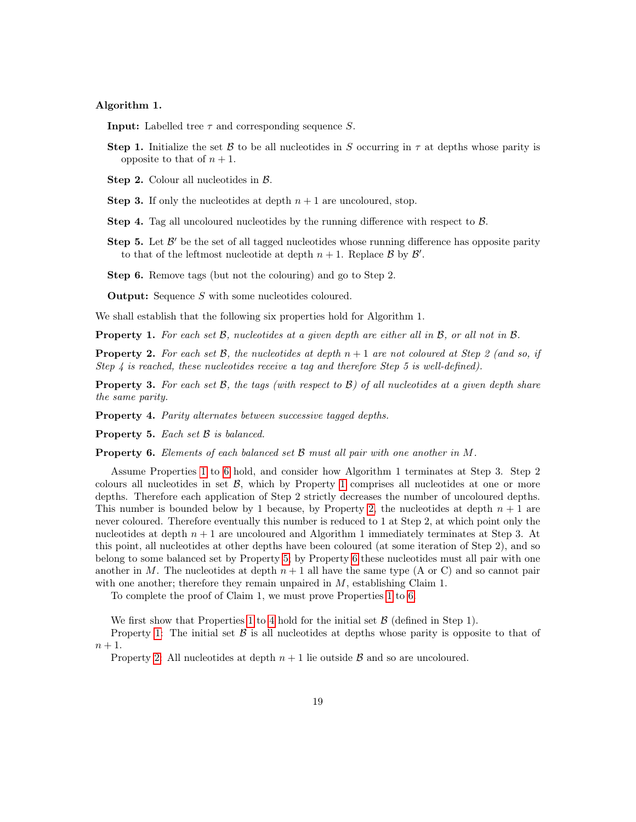#### Algorithm 1.

**Input:** Labelled tree  $\tau$  and corresponding sequence S.

- **Step 1.** Initialize the set B to be all nucleotides in S occurring in  $\tau$  at depths whose parity is opposite to that of  $n + 1$ .
- Step 2. Colour all nucleotides in B.
- **Step 3.** If only the nucleotides at depth  $n + 1$  are uncoloured, stop.
- Step 4. Tag all uncoloured nucleotides by the running difference with respect to B.
- Step 5. Let  $\mathcal{B}'$  be the set of all tagged nucleotides whose running difference has opposite parity to that of the leftmost nucleotide at depth  $n + 1$ . Replace  $\mathcal{B}$  by  $\mathcal{B}'$ .

Step 6. Remove tags (but not the colouring) and go to Step 2.

**Output:** Sequence S with some nucleotides coloured.

We shall establish that the following six properties hold for Algorithm 1.

<span id="page-18-0"></span>**Property 1.** For each set  $\mathcal{B}$ , nucleotides at a given depth are either all in  $\mathcal{B}$ , or all not in  $\mathcal{B}$ .

<span id="page-18-2"></span>**Property 2.** For each set  $\mathcal{B}$ , the nucleotides at depth  $n + 1$  are not coloured at Step 2 (and so, if Step 4 is reached, these nucleotides receive a tag and therefore Step 5 is well-defined).

<span id="page-18-5"></span>**Property 3.** For each set  $\mathcal{B}$ , the tags (with respect to  $\mathcal{B}$ ) of all nucleotides at a given depth share the same parity.

<span id="page-18-4"></span>Property 4. Parity alternates between successive tagged depths.

<span id="page-18-3"></span>Property 5. Each set  $\beta$  is balanced.

<span id="page-18-1"></span>**Property 6.** Elements of each balanced set  $\mathcal{B}$  must all pair with one another in  $M$ .

Assume Properties [1](#page-18-0) to [6](#page-18-1) hold, and consider how Algorithm 1 terminates at Step 3. Step 2 colours all nucleotides in set  $\beta$ , which by Property [1](#page-18-0) comprises all nucleotides at one or more depths. Therefore each application of Step 2 strictly decreases the number of uncoloured depths. This number is bounded below by 1 because, by Property [2,](#page-18-2) the nucleotides at depth  $n + 1$  are never coloured. Therefore eventually this number is reduced to 1 at Step 2, at which point only the nucleotides at depth  $n + 1$  are uncoloured and Algorithm 1 immediately terminates at Step 3. At this point, all nucleotides at other depths have been coloured (at some iteration of Step 2), and so belong to some balanced set by Property [5;](#page-18-3) by Property [6](#page-18-1) these nucleotides must all pair with one another in M. The nucleotides at depth  $n + 1$  all have the same type (A or C) and so cannot pair with one another; therefore they remain unpaired in  $M$ , establishing Claim 1.

To complete the proof of Claim 1, we must prove Properties [1](#page-18-0) to [6.](#page-18-1)

We first show that Properties [1](#page-18-0) to [4](#page-18-4) hold for the initial set  $\beta$  (defined in Step 1).

Property [1:](#page-18-0) The initial set  $\beta$  is all nucleotides at depths whose parity is opposite to that of  $n+1$ .

Property [2:](#page-18-2) All nucleotides at depth  $n+1$  lie outside  $\beta$  and so are uncoloured.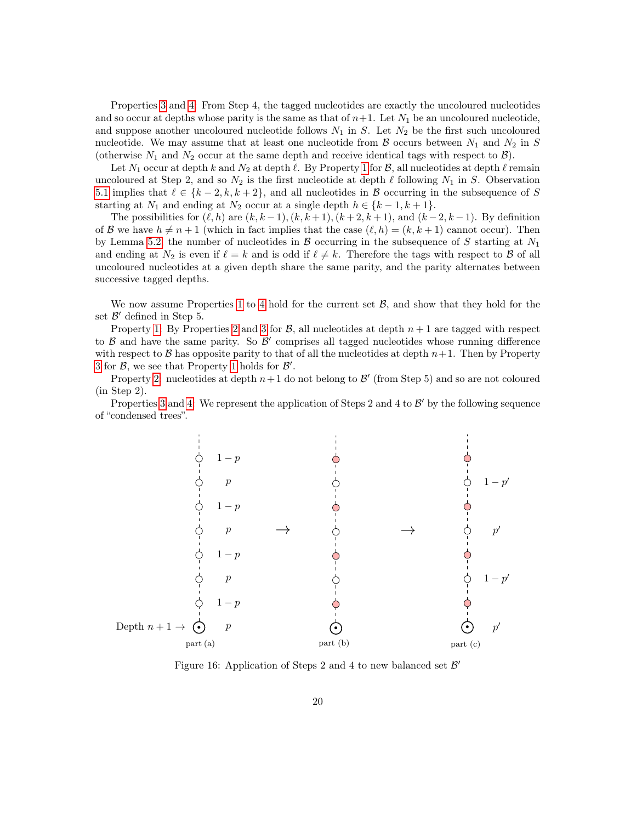Properties [3](#page-18-5) and [4:](#page-18-4) From Step 4, the tagged nucleotides are exactly the uncoloured nucleotides and so occur at depths whose parity is the same as that of  $n+1$ . Let  $N_1$  be an uncoloured nucleotide, and suppose another uncoloured nucleotide follows  $N_1$  in S. Let  $N_2$  be the first such uncoloured nucleotide. We may assume that at least one nucleotide from B occurs between  $N_1$  and  $N_2$  in S (otherwise  $N_1$  and  $N_2$  occur at the same depth and receive identical tags with respect to  $\mathcal{B}$ ).

Let  $N_1$  occur at depth k and  $N_2$  at depth  $\ell$ . By Property [1](#page-18-0) for  $\mathcal{B}$ , all nucleotides at depth  $\ell$  remain uncoloured at Step 2, and so  $N_2$  is the first nucleotide at depth  $\ell$  following  $N_1$  in S. Observation [5.1](#page-15-1) implies that  $\ell \in \{k-2, k, k+2\}$ , and all nucleotides in B occurring in the subsequence of S starting at  $N_1$  and ending at  $N_2$  occur at a single depth  $h \in \{k-1, k+1\}.$ 

The possibilities for  $(\ell, h)$  are  $(k, k - 1)$ ,  $(k, k + 1)$ ,  $(k + 2, k + 1)$ , and  $(k - 2, k - 1)$ . By definition of B we have  $h \neq n + 1$  (which in fact implies that the case  $(\ell, h) = (k, k + 1)$  cannot occur). Then by Lemma [5.2,](#page-15-2) the number of nucleotides in B occurring in the subsequence of S starting at  $N_1$ and ending at  $N_2$  is even if  $\ell = k$  and is odd if  $\ell \neq k$ . Therefore the tags with respect to B of all uncoloured nucleotides at a given depth share the same parity, and the parity alternates between successive tagged depths.

We now assume Properties [1](#page-18-0) to [4](#page-18-4) hold for the current set  $\mathcal{B}$ , and show that they hold for the set  $\mathcal{B}'$  defined in Step 5.

Property [1:](#page-18-0) By Properties [2](#page-18-2) and [3](#page-18-5) for  $\beta$ , all nucleotides at depth  $n+1$  are tagged with respect to  $\beta$  and have the same parity. So  $\beta'$  comprises all tagged nucleotides whose running difference with respect to B has opposite parity to that of all the nucleotides at depth  $n+1$ . Then by Property [3](#page-18-5) for  $\beta$ , we see that Property [1](#page-18-0) holds for  $\beta'$ .

Property [2:](#page-18-2) nucleotides at depth  $n+1$  do not belong to  $\mathcal{B}'$  (from Step 5) and so are not coloured (in Step 2).

Properties [3](#page-18-5) and [4:](#page-18-4) We represent the application of Steps 2 and 4 to  $\mathcal{B}'$  by the following sequence of "condensed trees".

<span id="page-19-0"></span>

Figure 16: Application of Steps 2 and 4 to new balanced set  $\mathcal{B}'$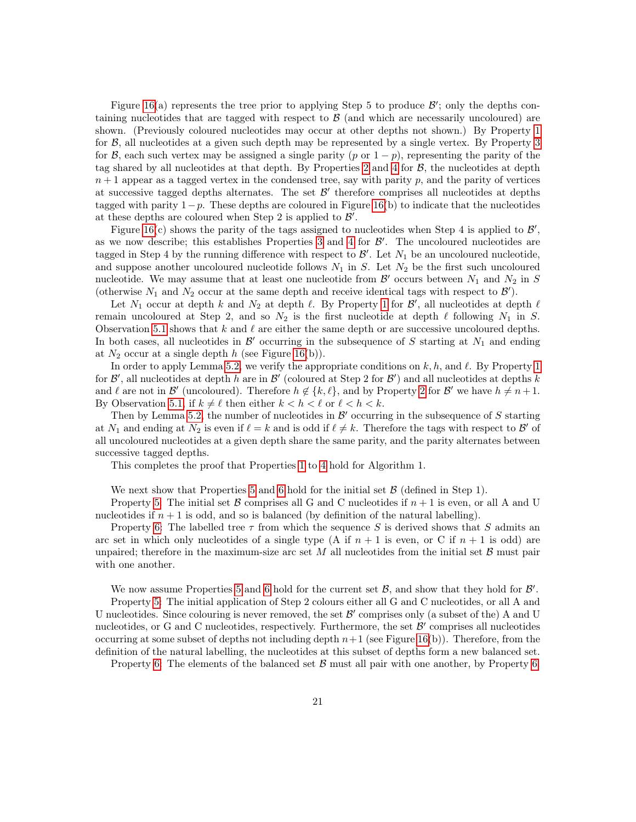Figure [16\(](#page-19-0)a) represents the tree prior to applying Step 5 to produce  $\mathcal{B}'$ ; only the depths containing nucleotides that are tagged with respect to  $\beta$  (and which are necessarily uncoloured) are shown. (Previously coloured nucleotides may occur at other depths not shown.) By Property [1](#page-18-0) for B, all nucleotides at a given such depth may be represented by a single vertex. By Property [3](#page-18-5) for B, each such vertex may be assigned a single parity (p or  $1 - p$ ), representing the parity of the tag shared by all nucleotides at that depth. By Properties [2](#page-18-2) and [4](#page-18-4) for  $\mathcal{B}$ , the nucleotides at depth  $n+1$  appear as a tagged vertex in the condensed tree, say with parity p, and the parity of vertices at successive tagged depths alternates. The set  $\mathcal{B}'$  therefore comprises all nucleotides at depths tagged with parity  $1-p$ . These depths are coloured in Figure [16\(](#page-19-0)b) to indicate that the nucleotides at these depths are coloured when Step 2 is applied to  $\mathcal{B}'$ .

Figure [16\(](#page-19-0)c) shows the parity of the tags assigned to nucleotides when Step 4 is applied to  $\mathcal{B}'$ , as we now describe; this establishes Properties [3](#page-18-5) and [4](#page-18-4) for  $\mathcal{B}'$ . The uncoloured nucleotides are tagged in Step 4 by the running difference with respect to  $\mathcal{B}'$ . Let  $N_1$  be an uncoloured nucleotide, and suppose another uncoloured nucleotide follows  $N_1$  in S. Let  $N_2$  be the first such uncoloured nucleotide. We may assume that at least one nucleotide from  $\mathcal{B}'$  occurs between  $N_1$  and  $N_2$  in S (otherwise  $N_1$  and  $N_2$  occur at the same depth and receive identical tags with respect to  $\mathcal{B}'$ ).

Let  $N_1$  occur at depth k and  $N_2$  at depth  $\ell$ . By Property [1](#page-18-0) for  $\mathcal{B}'$ , all nucleotides at depth  $\ell$ remain uncoloured at Step 2, and so  $N_2$  is the first nucleotide at depth  $\ell$  following  $N_1$  in S. Observation [5.1](#page-15-1) shows that  $k$  and  $\ell$  are either the same depth or are successive uncoloured depths. In both cases, all nucleotides in  $\mathcal{B}'$  occurring in the subsequence of S starting at  $N_1$  and ending at  $N_2$  occur at a single depth h (see Figure [16\(](#page-19-0)b)).

In order to apply Lemma [5.2,](#page-15-2) we verify the appropriate conditions on  $k, h$ , and  $\ell$ . By Property [1](#page-18-0) for  $\mathcal{B}'$ , all nucleotides at depth h are in  $\mathcal{B}'$  (coloured at Step 2 for  $\mathcal{B}'$ ) and all nucleotides at depths k and  $\ell$  are not in  $\mathcal{B}'$  (uncoloured). Therefore  $h \notin \{k, \ell\}$ , and by Property [2](#page-18-2) for  $\mathcal{B}'$  we have  $h \neq n+1$ . By Observation [5.1,](#page-15-1) if  $k \neq \ell$  then either  $k < h < \ell$  or  $\ell < h < k$ .

Then by Lemma [5.2,](#page-15-2) the number of nucleotides in  $\mathcal{B}'$  occurring in the subsequence of S starting at  $N_1$  and ending at  $N_2$  is even if  $\ell = k$  and is odd if  $\ell \neq k$ . Therefore the tags with respect to  $\mathcal{B}'$  of all uncoloured nucleotides at a given depth share the same parity, and the parity alternates between successive tagged depths.

This completes the proof that Properties [1](#page-18-0) to [4](#page-18-4) hold for Algorithm 1.

We next show that Properties [5](#page-18-3) and [6](#page-18-1) hold for the initial set  $\mathcal{B}$  (defined in Step 1).

Property [5:](#page-18-3) The initial set B comprises all G and C nucleotides if  $n+1$  is even, or all A and U nucleotides if  $n + 1$  is odd, and so is balanced (by definition of the natural labelling).

Property [6:](#page-18-1) The labelled tree  $\tau$  from which the sequence S is derived shows that S admits an arc set in which only nucleotides of a single type (A if  $n + 1$  is even, or C if  $n + 1$  is odd) are unpaired; therefore in the maximum-size arc set  $M$  all nucleotides from the initial set  $\beta$  must pair with one another.

We now assume Properties [5](#page-18-3) and [6](#page-18-1) hold for the current set  $\mathcal{B}$ , and show that they hold for  $\mathcal{B}'$ .

Property [5:](#page-18-3) The initial application of Step 2 colours either all G and C nucleotides, or all A and U nucleotides. Since colouring is never removed, the set  $\mathcal{B}'$  comprises only (a subset of the) A and U nucleotides, or G and C nucleotides, respectively. Furthermore, the set  $\mathcal{B}'$  comprises all nucleotides occurring at some subset of depths not including depth  $n+1$  (see Figure [16\(](#page-19-0)b)). Therefore, from the definition of the natural labelling, the nucleotides at this subset of depths form a new balanced set.

Property [6:](#page-18-1) The elements of the balanced set  $\beta$  must all pair with one another, by Property [6.](#page-18-1)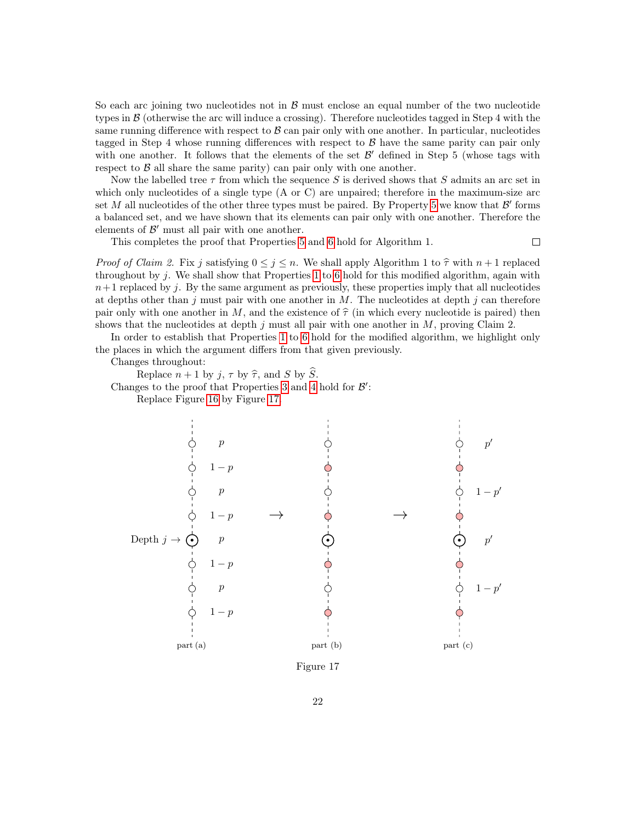So each arc joining two nucleotides not in  $\beta$  must enclose an equal number of the two nucleotide types in B (otherwise the arc will induce a crossing). Therefore nucleotides tagged in Step 4 with the same running difference with respect to  $\beta$  can pair only with one another. In particular, nucleotides tagged in Step 4 whose running differences with respect to  $\beta$  have the same parity can pair only with one another. It follows that the elements of the set  $\mathcal{B}'$  defined in Step 5 (whose tags with respect to  $\beta$  all share the same parity) can pair only with one another.

Now the labelled tree  $\tau$  from which the sequence S is derived shows that S admits an arc set in which only nucleotides of a single type (A or C) are unpaired; therefore in the maximum-size arc set M all nucleotides of the other three types must be paired. By Property [5](#page-18-3) we know that  $\mathcal{B}'$  forms a balanced set, and we have shown that its elements can pair only with one another. Therefore the elements of  $\mathcal{B}'$  must all pair with one another.

This completes the proof that Properties [5](#page-18-3) and [6](#page-18-1) hold for Algorithm 1.

 $\Box$ 

*Proof of Claim 2.* Fix j satisfying  $0 \le j \le n$ . We shall apply Algorithm 1 to  $\hat{\tau}$  with  $n + 1$  replaced throughout by j. We shall show that Properties [1](#page-18-0) to [6](#page-18-1) hold for this modified algorithm, again with  $n+1$  replaced by j. By the same argument as previously, these properties imply that all nucleotides at depths other than j must pair with one another in  $M$ . The nucleotides at depth j can therefore pair only with one another in M, and the existence of  $\hat{\tau}$  (in which every nucleotide is paired) then shows that the nucleotides at depth  $j$  must all pair with one another in  $M$ , proving Claim 2.

In order to establish that Properties [1](#page-18-0) to [6](#page-18-1) hold for the modified algorithm, we highlight only the places in which the argument differs from that given previously.

Changes throughout:

Replace  $n + 1$  by j,  $\tau$  by  $\hat{\tau}$ , and S by  $\hat{S}$ .

Changes to the proof that Properties [3](#page-18-5) and [4](#page-18-4) hold for  $\mathcal{B}'$ :

Replace Figure [16](#page-19-0) by Figure [17.](#page-21-0)

<span id="page-21-0"></span>

Figure 17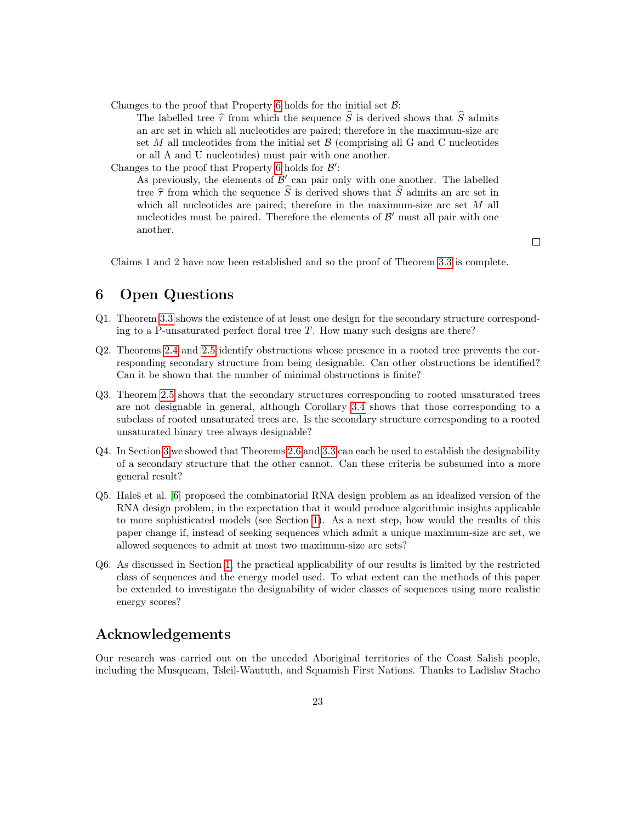Changes to the proof that Property [6](#page-18-1) holds for the initial set  $\mathcal{B}$ :

The labelled tree  $\hat{\tau}$  from which the sequence  $\hat{S}$  is derived shows that  $\hat{S}$  admits an arc set in which all nucleotides are paired; therefore in the maximum-size arc set M all nucleotides from the initial set  $\beta$  (comprising all G and C nucleotides or all A and U nucleotides) must pair with one another.

Changes to the proof that Property [6](#page-18-1) holds for  $\mathcal{B}'$ : As previously, the elements of  $\mathcal{B}'$  can pair only with one another. The labelled tree  $\hat{\tau}$  from which the sequence  $\hat{S}$  is derived shows that  $\hat{S}$  admits an arc set in which all nucleotides are paired; therefore in the maximum-size arc set M all nucleotides must be paired. Therefore the elements of  $\mathcal{B}'$  must all pair with one another.

 $\Box$ 

Claims 1 and 2 have now been established and so the proof of Theorem [3.3](#page-6-0) is complete.

# <span id="page-22-0"></span>6 Open Questions

- Q1. Theorem [3.3](#page-6-0) shows the existence of at least one design for the secondary structure corresponding to a P-unsaturated perfect floral tree  $T$ . How many such designs are there?
- Q2. Theorems [2.4](#page-4-0) and [2.5](#page-4-1) identify obstructions whose presence in a rooted tree prevents the corresponding secondary structure from being designable. Can other obstructions be identified? Can it be shown that the number of minimal obstructions is finite?
- Q3. Theorem [2.5](#page-4-1) shows that the secondary structures corresponding to rooted unsaturated trees are not designable in general, although Corollary [3.4](#page-7-0) shows that those corresponding to a subclass of rooted unsaturated trees are. Is the secondary structure corresponding to a rooted unsaturated binary tree always designable?
- Q4. In Section [3](#page-5-0) we showed that Theorems [2.6](#page-4-3) and [3.3](#page-6-0) can each be used to establish the designability of a secondary structure that the other cannot. Can these criteria be subsumed into a more general result?
- Q5. Haleš et al. [\[6\]](#page-23-10) proposed the combinatorial RNA design problem as an idealized version of the RNA design problem, in the expectation that it would produce algorithmic insights applicable to more sophisticated models (see Section [1\)](#page-0-0). As a next step, how would the results of this paper change if, instead of seeking sequences which admit a unique maximum-size arc set, we allowed sequences to admit at most two maximum-size arc sets?
- Q6. As discussed in Section [1,](#page-0-0) the practical applicability of our results is limited by the restricted class of sequences and the energy model used. To what extent can the methods of this paper be extended to investigate the designability of wider classes of sequences using more realistic energy scores?

## Acknowledgements

Our research was carried out on the unceded Aboriginal territories of the Coast Salish people, including the Musqueam, Tsleil-Waututh, and Squamish First Nations. Thanks to Ladislav Stacho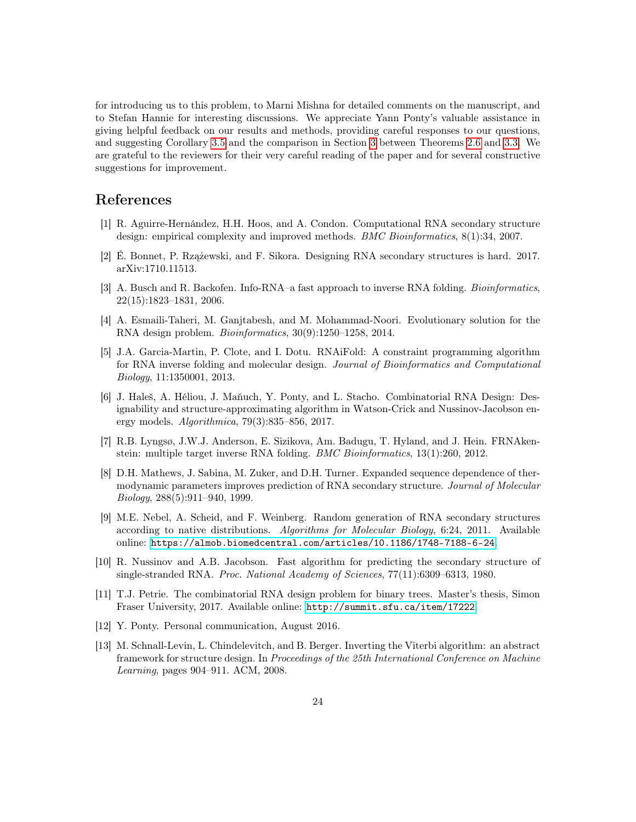for introducing us to this problem, to Marni Mishna for detailed comments on the manuscript, and to Stefan Hannie for interesting discussions. We appreciate Yann Ponty's valuable assistance in giving helpful feedback on our results and methods, providing careful responses to our questions, and suggesting Corollary [3.5](#page-8-0) and the comparison in Section [3](#page-5-0) between Theorems [2.6](#page-4-3) and [3.3.](#page-6-0) We are grateful to the reviewers for their very careful reading of the paper and for several constructive suggestions for improvement.

# References

- <span id="page-23-6"></span>[1] R. Aguirre-Hernández, H.H. Hoos, and A. Condon. Computational RNA secondary structure design: empirical complexity and improved methods. BMC Bioinformatics, 8(1):34, 2007.
- <span id="page-23-9"></span>[2] É. Bonnet, P. Rzążewski, and F. Sikora. Designing RNA secondary structures is hard. 2017. arXiv:1710.11513.
- <span id="page-23-5"></span>[3] A. Busch and R. Backofen. Info-RNA–a fast approach to inverse RNA folding. *Bioinformatics*, 22(15):1823–1831, 2006.
- <span id="page-23-0"></span>[4] A. Esmaili-Taheri, M. Ganjtabesh, and M. Mohammad-Noori. Evolutionary solution for the RNA design problem. Bioinformatics, 30(9):1250–1258, 2014.
- <span id="page-23-8"></span>[5] J.A. Garcia-Martin, P. Clote, and I. Dotu. RNAiFold: A constraint programming algorithm for RNA inverse folding and molecular design. Journal of Bioinformatics and Computational Biology, 11:1350001, 2013.
- <span id="page-23-10"></span>[6] J. Haleš, A. Héliou, J. Maňuch, Y. Ponty, and L. Stacho. Combinatorial RNA Design: Designability and structure-approximating algorithm in Watson-Crick and Nussinov-Jacobson energy models. Algorithmica, 79(3):835–856, 2017.
- <span id="page-23-7"></span>[7] R.B. Lyngsø, J.W.J. Anderson, E. Sizikova, Am. Badugu, T. Hyland, and J. Hein. FRNAkenstein: multiple target inverse RNA folding. BMC Bioinformatics, 13(1):260, 2012.
- <span id="page-23-4"></span>[8] D.H. Mathews, J. Sabina, M. Zuker, and D.H. Turner. Expanded sequence dependence of thermodynamic parameters improves prediction of RNA secondary structure. Journal of Molecular Biology, 288(5):911–940, 1999.
- <span id="page-23-3"></span>[9] M.E. Nebel, A. Scheid, and F. Weinberg. Random generation of RNA secondary structures according to native distributions. Algorithms for Molecular Biology, 6:24, 2011. Available online: <https://almob.biomedcentral.com/articles/10.1186/1748-7188-6-24>.
- <span id="page-23-1"></span>[10] R. Nussinov and A.B. Jacobson. Fast algorithm for predicting the secondary structure of single-stranded RNA. Proc. National Academy of Sciences, 77(11):6309–6313, 1980.
- <span id="page-23-2"></span>[11] T.J. Petrie. The combinatorial RNA design problem for binary trees. Master's thesis, Simon Fraser University, 2017. Available online: <http://summit.sfu.ca/item/17222>.
- <span id="page-23-12"></span>[12] Y. Ponty. Personal communication, August 2016.
- <span id="page-23-11"></span>[13] M. Schnall-Levin, L. Chindelevitch, and B. Berger. Inverting the Viterbi algorithm: an abstract framework for structure design. In Proceedings of the 25th International Conference on Machine Learning, pages 904–911. ACM, 2008.